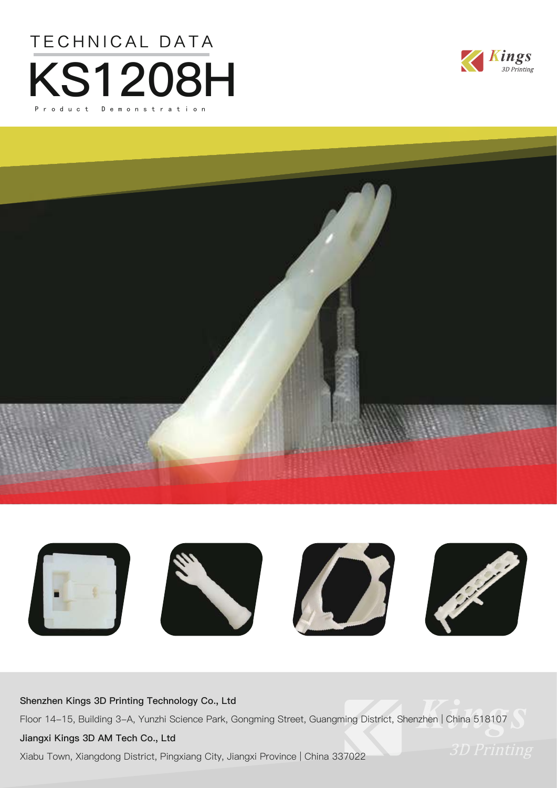







#### **Shenzhen Kings 3D Printing Technology Co., Ltd**

Floor 14-15, Building 3-A, Yunzhi Science Park, Gongming Street, Guangming District, Shenzhen | China 518107

#### **Jiangxi Kings 3D AM Tech Co., Ltd**

Xiabu Town, Xiangdong District, Pingxiang City, Jiangxi Province | China 337022